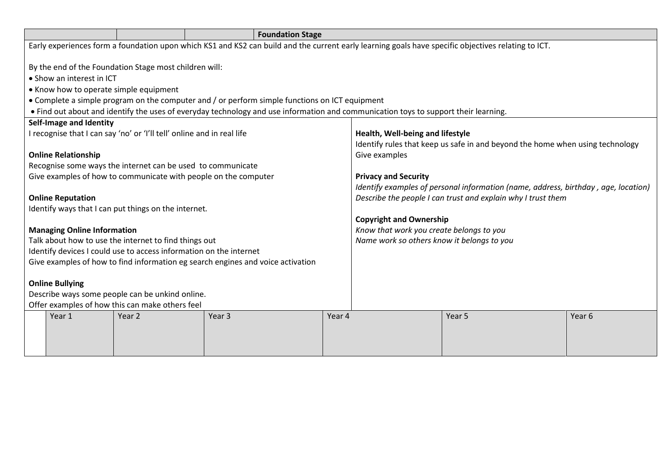|                                                                                                                                                                                                                                                                                                                                                                        |                                    |                                                                                                    | <b>Foundation Stage</b>                                                                                                                             |        |                                                                                                                                                    |                                                                               |        |
|------------------------------------------------------------------------------------------------------------------------------------------------------------------------------------------------------------------------------------------------------------------------------------------------------------------------------------------------------------------------|------------------------------------|----------------------------------------------------------------------------------------------------|-----------------------------------------------------------------------------------------------------------------------------------------------------|--------|----------------------------------------------------------------------------------------------------------------------------------------------------|-------------------------------------------------------------------------------|--------|
|                                                                                                                                                                                                                                                                                                                                                                        |                                    |                                                                                                    | Early experiences form a foundation upon which KS1 and KS2 can build and the current early learning goals have specific objectives relating to ICT. |        |                                                                                                                                                    |                                                                               |        |
| By the end of the Foundation Stage most children will:<br>• Show an interest in ICT<br>• Know how to operate simple equipment<br>• Complete a simple program on the computer and / or perform simple functions on ICT equipment<br>. Find out about and identify the uses of everyday technology and use information and communication toys to support their learning. |                                    |                                                                                                    |                                                                                                                                                     |        |                                                                                                                                                    |                                                                               |        |
|                                                                                                                                                                                                                                                                                                                                                                        | Self-Image and Identity            |                                                                                                    |                                                                                                                                                     |        |                                                                                                                                                    |                                                                               |        |
|                                                                                                                                                                                                                                                                                                                                                                        |                                    | I recognise that I can say 'no' or 'I'll tell' online and in real life                             |                                                                                                                                                     |        | Health, Well-being and lifestyle                                                                                                                   |                                                                               |        |
|                                                                                                                                                                                                                                                                                                                                                                        |                                    |                                                                                                    |                                                                                                                                                     |        |                                                                                                                                                    | Identify rules that keep us safe in and beyond the home when using technology |        |
| Give examples<br><b>Online Relationship</b>                                                                                                                                                                                                                                                                                                                            |                                    |                                                                                                    |                                                                                                                                                     |        |                                                                                                                                                    |                                                                               |        |
|                                                                                                                                                                                                                                                                                                                                                                        |                                    | Recognise some ways the internet can be used to communicate                                        |                                                                                                                                                     |        |                                                                                                                                                    |                                                                               |        |
|                                                                                                                                                                                                                                                                                                                                                                        |                                    |                                                                                                    | Give examples of how to communicate with people on the computer                                                                                     |        | <b>Privacy and Security</b>                                                                                                                        |                                                                               |        |
|                                                                                                                                                                                                                                                                                                                                                                        | <b>Online Reputation</b>           |                                                                                                    |                                                                                                                                                     |        | Identify examples of personal information (name, address, birthday, age, location)<br>Describe the people I can trust and explain why I trust them |                                                                               |        |
|                                                                                                                                                                                                                                                                                                                                                                        |                                    | Identify ways that I can put things on the internet.                                               |                                                                                                                                                     |        |                                                                                                                                                    |                                                                               |        |
|                                                                                                                                                                                                                                                                                                                                                                        |                                    |                                                                                                    |                                                                                                                                                     |        | <b>Copyright and Ownership</b>                                                                                                                     |                                                                               |        |
|                                                                                                                                                                                                                                                                                                                                                                        | <b>Managing Online Information</b> |                                                                                                    |                                                                                                                                                     |        | Know that work you create belongs to you                                                                                                           |                                                                               |        |
|                                                                                                                                                                                                                                                                                                                                                                        |                                    | Talk about how to use the internet to find things out                                              |                                                                                                                                                     |        | Name work so others know it belongs to you                                                                                                         |                                                                               |        |
|                                                                                                                                                                                                                                                                                                                                                                        |                                    | Identify devices I could use to access information on the internet                                 |                                                                                                                                                     |        |                                                                                                                                                    |                                                                               |        |
|                                                                                                                                                                                                                                                                                                                                                                        |                                    |                                                                                                    | Give examples of how to find information eg search engines and voice activation                                                                     |        |                                                                                                                                                    |                                                                               |        |
|                                                                                                                                                                                                                                                                                                                                                                        |                                    |                                                                                                    |                                                                                                                                                     |        |                                                                                                                                                    |                                                                               |        |
|                                                                                                                                                                                                                                                                                                                                                                        | <b>Online Bullying</b>             |                                                                                                    |                                                                                                                                                     |        |                                                                                                                                                    |                                                                               |        |
|                                                                                                                                                                                                                                                                                                                                                                        |                                    | Describe ways some people can be unkind online.<br>Offer examples of how this can make others feel |                                                                                                                                                     |        |                                                                                                                                                    |                                                                               |        |
|                                                                                                                                                                                                                                                                                                                                                                        | Year 1                             | Year 2                                                                                             | Year <sub>3</sub>                                                                                                                                   | Year 4 |                                                                                                                                                    | Year 5                                                                        | Year 6 |
|                                                                                                                                                                                                                                                                                                                                                                        |                                    |                                                                                                    |                                                                                                                                                     |        |                                                                                                                                                    |                                                                               |        |
|                                                                                                                                                                                                                                                                                                                                                                        |                                    |                                                                                                    |                                                                                                                                                     |        |                                                                                                                                                    |                                                                               |        |
|                                                                                                                                                                                                                                                                                                                                                                        |                                    |                                                                                                    |                                                                                                                                                     |        |                                                                                                                                                    |                                                                               |        |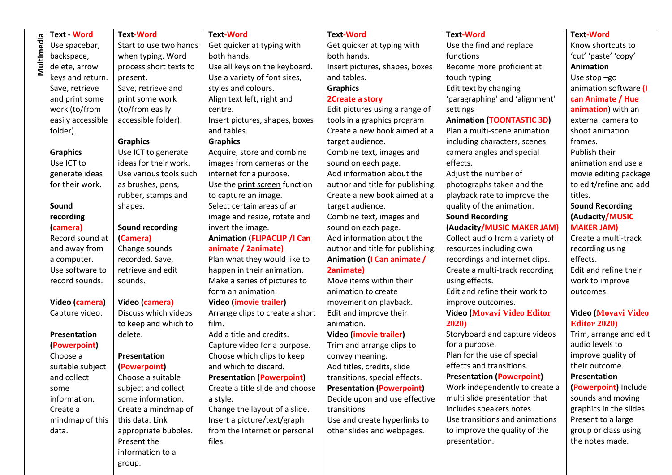|            | <b>Text - Word</b>  | <b>Text-Word</b>       | <b>Text-Word</b>                   | <b>Text-Word</b>                  | <b>Text-Word</b>                 | <b>Text-Word</b>           |
|------------|---------------------|------------------------|------------------------------------|-----------------------------------|----------------------------------|----------------------------|
| Multimedia | Use spacebar,       | Start to use two hands | Get quicker at typing with         | Get quicker at typing with        | Use the find and replace         | Know shortcuts to          |
|            | backspace,          | when typing. Word      | both hands.                        | both hands.                       | functions                        | 'cut' 'paste' 'copy'       |
|            | delete, arrow       | process short texts to | Use all keys on the keyboard.      | Insert pictures, shapes, boxes    | Become more proficient at        | <b>Animation</b>           |
|            | keys and return.    | present.               | Use a variety of font sizes,       | and tables.                       | touch typing                     | Use stop $-go$             |
|            | Save, retrieve      | Save, retrieve and     | styles and colours.                | <b>Graphics</b>                   | Edit text by changing            | animation software (I      |
|            | and print some      | print some work        | Align text left, right and         | 2Create a story                   | 'paragraphing' and 'alignment'   | can Animate / Hue          |
|            | work (to/from       | (to/from easily        | centre.                            | Edit pictures using a range of    | settings                         | animation) with an         |
|            | easily accessible   | accessible folder).    | Insert pictures, shapes, boxes     | tools in a graphics program       | <b>Animation (TOONTASTIC 3D)</b> | external camera to         |
|            | folder).            |                        | and tables.                        | Create a new book aimed at a      | Plan a multi-scene animation     | shoot animation            |
|            |                     | <b>Graphics</b>        | <b>Graphics</b>                    | target audience.                  | including characters, scenes,    | frames.                    |
|            | <b>Graphics</b>     | Use ICT to generate    | Acquire, store and combine         | Combine text, images and          | camera angles and special        | Publish their              |
|            | Use ICT to          | ideas for their work.  | images from cameras or the         | sound on each page.               | effects.                         | animation and use a        |
|            | generate ideas      | Use various tools such | internet for a purpose.            | Add information about the         | Adjust the number of             | movie editing package      |
|            | for their work.     | as brushes, pens,      | Use the print screen function      | author and title for publishing.  | photographs taken and the        | to edit/refine and add     |
|            |                     | rubber, stamps and     | to capture an image.               | Create a new book aimed at a      | playback rate to improve the     | titles.                    |
|            | Sound               | shapes.                | Select certain areas of an         | target audience.                  | quality of the animation.        | <b>Sound Recording</b>     |
|            | recording           |                        | image and resize, rotate and       | Combine text, images and          | <b>Sound Recording</b>           | (Audacity/MUSIC            |
|            | (camera)            | Sound recording        | invert the image.                  | sound on each page.               | (Audacity/MUSIC MAKER JAM)       | <b>MAKER JAM)</b>          |
|            | Record sound at     | (Camera)               | <b>Animation (FLIPACLIP /I Can</b> | Add information about the         | Collect audio from a variety of  | Create a multi-track       |
|            | and away from       | Change sounds          | animate / 2animate)                | author and title for publishing.  | resources including own          | recording using            |
|            | a computer.         | recorded. Save,        | Plan what they would like to       | <b>Animation (I Can animate /</b> | recordings and internet clips.   | effects.                   |
|            | Use software to     | retrieve and edit      | happen in their animation.         | 2animate)                         | Create a multi-track recording   | Edit and refine their      |
|            | record sounds.      | sounds.                | Make a series of pictures to       | Move items within their           | using effects.                   | work to improve            |
|            |                     |                        | form an animation.                 | animation to create               | Edit and refine their work to    | outcomes.                  |
|            | Video (camera)      | Video (camera)         | Video (imovie trailer)             | movement on playback.             | improve outcomes.                |                            |
|            | Capture video.      | Discuss which videos   | Arrange clips to create a short    | Edit and improve their            | Video (Movavi Video Editor       | <b>Video (Movavi Video</b> |
|            |                     | to keep and which to   | film.                              | animation.                        | 2020                             | <b>Editor 2020)</b>        |
|            | <b>Presentation</b> | delete.                | Add a title and credits.           | Video (imovie trailer)            | Storyboard and capture videos    | Trim, arrange and edit     |
|            | (Powerpoint)        |                        | Capture video for a purpose.       | Trim and arrange clips to         | for a purpose.                   | audio levels to            |
|            | Choose a            | Presentation           | Choose which clips to keep         | convey meaning.                   | Plan for the use of special      | improve quality of         |
|            | suitable subject    | (Powerpoint)           | and which to discard.              | Add titles, credits, slide        | effects and transitions.         | their outcome.             |
|            | and collect         | Choose a suitable      | <b>Presentation (Powerpoint)</b>   | transitions, special effects.     | <b>Presentation (Powerpoint)</b> | Presentation               |
|            | some                | subject and collect    | Create a title slide and choose    | <b>Presentation (Powerpoint)</b>  | Work independently to create a   | (Powerpoint) Include       |
|            | information.        | some information.      | a style.                           | Decide upon and use effective     | multi slide presentation that    | sounds and moving          |
|            | Create a            | Create a mindmap of    | Change the layout of a slide.      | transitions                       | includes speakers notes.         | graphics in the slides.    |
|            | mindmap of this     | this data. Link        | Insert a picture/text/graph        | Use and create hyperlinks to      | Use transitions and animations   | Present to a large         |
|            | data.               | appropriate bubbles.   | from the Internet or personal      | other slides and webpages.        | to improve the quality of the    | group or class using       |
|            |                     | Present the            | files.                             |                                   | presentation.                    | the notes made.            |
|            |                     | information to a       |                                    |                                   |                                  |                            |

group.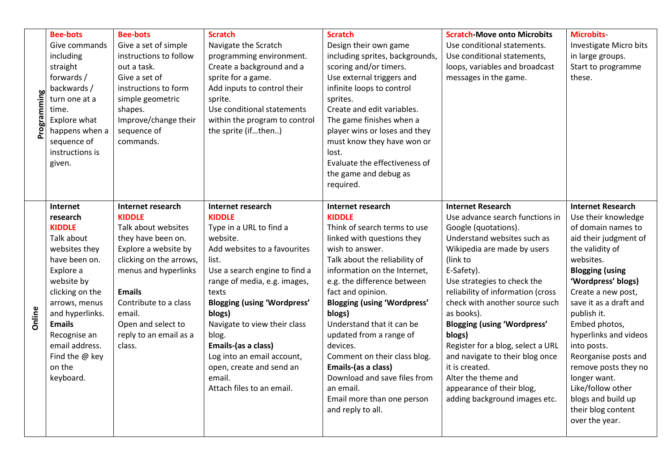| Programmin    | <b>Bee-bots</b><br>Give commands<br>including<br>straight<br>forwards/<br>backwards /<br>turn one at a<br>time.<br>Explore what<br>happens when a<br>sequence of<br>instructions is<br>given.                                                                       | <b>Bee-bots</b><br>Give a set of simple<br>instructions to follow<br>out a task.<br>Give a set of<br>instructions to form<br>simple geometric<br>shapes.<br>Improve/change their<br>sequence of<br>commands.                                                                    | <b>Scratch</b><br>Navigate the Scratch<br>programming environment.<br>Create a background and a<br>sprite for a game.<br>Add inputs to control their<br>sprite.<br>Use conditional statements<br>within the program to control<br>the sprite (ifthen)                                                                                                                                                         | <b>Scratch</b><br>Design their own game<br>including sprites, backgrounds,<br>scoring and/or timers.<br>Use external triggers and<br>infinite loops to control<br>sprites.<br>Create and edit variables.<br>The game finishes when a<br>player wins or loses and they<br>must know they have won or<br>lost.<br>Evaluate the effectiveness of<br>the game and debug as<br>required.                                                                                                                                        | <b>Scratch-Move onto Microbits</b><br>Use conditional statements.<br>Use conditional statements,<br>loops, variables and broadcast<br>messages in the game.                                                                                                                                                                                                                                                                                                                                                                    | <b>Microbits-</b><br>Investigate Micro bits<br>in large groups.<br>Start to programme<br>these.                                                                                                                                                                                                                                                                                                                                                           |
|---------------|---------------------------------------------------------------------------------------------------------------------------------------------------------------------------------------------------------------------------------------------------------------------|---------------------------------------------------------------------------------------------------------------------------------------------------------------------------------------------------------------------------------------------------------------------------------|---------------------------------------------------------------------------------------------------------------------------------------------------------------------------------------------------------------------------------------------------------------------------------------------------------------------------------------------------------------------------------------------------------------|----------------------------------------------------------------------------------------------------------------------------------------------------------------------------------------------------------------------------------------------------------------------------------------------------------------------------------------------------------------------------------------------------------------------------------------------------------------------------------------------------------------------------|--------------------------------------------------------------------------------------------------------------------------------------------------------------------------------------------------------------------------------------------------------------------------------------------------------------------------------------------------------------------------------------------------------------------------------------------------------------------------------------------------------------------------------|-----------------------------------------------------------------------------------------------------------------------------------------------------------------------------------------------------------------------------------------------------------------------------------------------------------------------------------------------------------------------------------------------------------------------------------------------------------|
| <b>Online</b> | Internet<br>research<br><b>KIDDLE</b><br>Talk about<br>websites they<br>have been on.<br>Explore a<br>website by<br>clicking on the<br>arrows, menus<br>and hyperlinks.<br><b>Emails</b><br>Recognise an<br>email address.<br>Find the @ key<br>on the<br>keyboard. | <b>Internet research</b><br><b>KIDDLE</b><br>Talk about websites<br>they have been on.<br>Explore a website by<br>clicking on the arrows,<br>menus and hyperlinks<br><b>Emails</b><br>Contribute to a class<br>email.<br>Open and select to<br>reply to an email as a<br>class. | Internet research<br><b>KIDDLE</b><br>Type in a URL to find a<br>website.<br>Add websites to a favourites<br>list.<br>Use a search engine to find a<br>range of media, e.g. images,<br>texts<br><b>Blogging (using 'Wordpress'</b><br>blogs)<br>Navigate to view their class<br>blog.<br>Emails-(as a class)<br>Log into an email account,<br>open, create and send an<br>email.<br>Attach files to an email. | <b>Internet research</b><br><b>KIDDLE</b><br>Think of search terms to use<br>linked with questions they<br>wish to answer.<br>Talk about the reliability of<br>information on the Internet,<br>e.g. the difference between<br>fact and opinion.<br><b>Blogging (using 'Wordpress'</b><br>blogs)<br>Understand that it can be<br>updated from a range of<br>devices.<br>Comment on their class blog.<br>Emails-(as a class)<br>Download and save files from<br>an email.<br>Email more than one person<br>and reply to all. | <b>Internet Research</b><br>Use advance search functions in<br>Google (quotations).<br>Understand websites such as<br>Wikipedia are made by users<br>(link to<br>E-Safety).<br>Use strategies to check the<br>reliability of information (cross<br>check with another source such<br>as books).<br><b>Blogging (using 'Wordpress'</b><br>blogs)<br>Register for a blog, select a URL<br>and navigate to their blog once<br>it is created.<br>Alter the theme and<br>appearance of their blog,<br>adding background images etc. | <b>Internet Research</b><br>Use their knowledge<br>of domain names to<br>aid their judgment of<br>the validity of<br>websites.<br><b>Blogging (using</b><br>'Wordpress' blogs)<br>Create a new post,<br>save it as a draft and<br>publish it.<br>Embed photos,<br>hyperlinks and videos<br>into posts.<br>Reorganise posts and<br>remove posts they no<br>longer want.<br>Like/follow other<br>blogs and build up<br>their blog content<br>over the year. |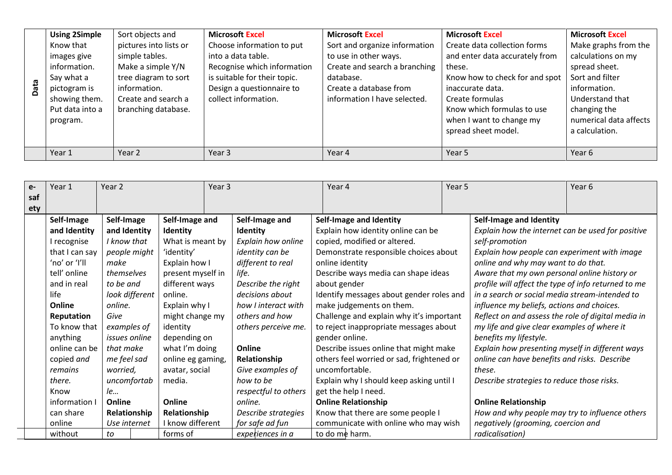|   | <b>Using 2Simple</b> | Sort objects and       | <b>Microsoft Excel</b>       | <b>Microsoft Excel</b>        | <b>Microsoft Excel</b>         | <b>Microsoft Excel</b> |
|---|----------------------|------------------------|------------------------------|-------------------------------|--------------------------------|------------------------|
|   | Know that            | pictures into lists or | Choose information to put    | Sort and organize information | Create data collection forms   | Make graphs from the   |
|   | images give          | simple tables.         | into a data table.           | to use in other ways.         | and enter data accurately from | calculations on my     |
|   | information.         | Make a simple Y/N      | Recognise which information  | Create and search a branching | these.                         | spread sheet.          |
|   | Say what a           | tree diagram to sort   | is suitable for their topic. | database.                     | Know how to check for and spot | Sort and filter        |
| ā | pictogram is         | information.           | Design a questionnaire to    | Create a database from        | inaccurate data.               | information.           |
|   | showing them.        | Create and search a    | collect information.         | information I have selected.  | Create formulas                | Understand that        |
|   | Put data into a      | branching database.    |                              |                               | Know which formulas to use     | changing the           |
|   | program.             |                        |                              |                               | when I want to change my       | numerical data affects |
|   |                      |                        |                              |                               | spread sheet model.            | a calculation.         |
|   |                      |                        |                              |                               |                                |                        |
|   | Year 1               | Year 2                 | Year <sub>3</sub>            | Year 4                        | Year 5                         | Year 6                 |

| $e-$ | Year 1                    | Year <sub>2</sub>           |                   | Year 3               | Year 4                                    | Year 5 |                                                     | Year <sub>6</sub> |
|------|---------------------------|-----------------------------|-------------------|----------------------|-------------------------------------------|--------|-----------------------------------------------------|-------------------|
| saf  |                           |                             |                   |                      |                                           |        |                                                     |                   |
| ety  |                           |                             |                   |                      |                                           |        |                                                     |                   |
|      | Self-Image                | Self-Image                  | Self-Image and    | Self-Image and       | Self-Image and Identity                   |        | Self-Image and Identity                             |                   |
|      | and Identity              | and Identity                | Identity          | Identity             | Explain how identity online can be        |        | Explain how the internet can be used for positive   |                   |
|      | I recognise               | I know that                 | What is meant by  | Explain how online   | copied, modified or altered.              |        | self-promotion                                      |                   |
|      | that I can say            | people might                | 'identity'        | identity can be      | Demonstrate responsible choices about     |        | Explain how people can experiment with image        |                   |
|      | 'no' or 'I'll             | make                        | Explain how I     | different to real    | online identity                           |        | online and why may want to do that.                 |                   |
|      | tell' online              | themselves                  | present myself in | life.                | Describe ways media can shape ideas       |        | Aware that my own personal online history or        |                   |
|      | and in real               | different ways<br>to be and |                   | Describe the right   | about gender                              |        | profile will affect the type of info returned to me |                   |
|      | life                      | look different<br>online.   |                   | decisions about      | Identify messages about gender roles and  |        | in a search or social media stream-intended to      |                   |
|      | Online                    | Explain why I<br>online.    |                   | how I interact with  | make judgements on them.                  |        | influence my beliefs, actions and choices.          |                   |
|      | Reputation                | Give                        | might change my   | others and how       | Challenge and explain why it's important  |        | Reflect on and assess the role of digital media in  |                   |
|      | To know that              | examples of                 | identity          | others perceive me.  | to reject inappropriate messages about    |        | my life and give clear examples of where it         |                   |
|      | anything                  | issues online               | depending on      |                      | gender online.                            |        | benefits my lifestyle.                              |                   |
|      | online can be             | that make                   | what I'm doing    | Online               | Describe issues online that might make    |        | Explain how presenting myself in different ways     |                   |
|      | copied and                | me feel sad                 | online eg gaming, | Relationship         | others feel worried or sad, frightened or |        | online can have benefits and risks. Describe        |                   |
|      | worried.<br>remains       |                             | avatar, social    | Give examples of     | uncomfortable.                            |        | these.                                              |                   |
|      | uncomfortab<br>there.     |                             | media.            | how to be            | Explain why I should keep asking until I  |        | Describe strategies to reduce those risks.          |                   |
|      | Know                      | le                          |                   | respectful to others | get the help I need.                      |        |                                                     |                   |
|      | Online<br>information I   |                             | Online            | online.              | <b>Online Relationship</b>                |        | <b>Online Relationship</b>                          |                   |
|      | Relationship<br>can share |                             | Relationship      | Describe strategies  | Know that there are some people I         |        | How and why people may try to influence others      |                   |
|      | online                    | Use internet                | I know different  | for safe ad fun      | communicate with online who may wish      |        | negatively (grooming, coercion and                  |                   |
|      | without                   | to                          | forms of          | experiences in a     | to do me harm.                            |        | radicalisation)                                     |                   |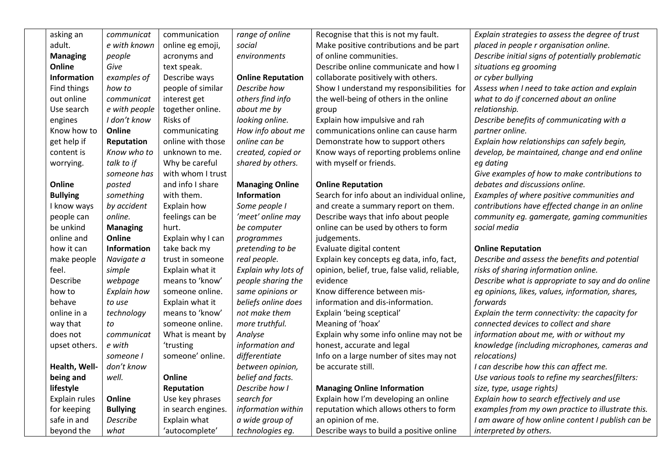| asking an       | communicat      | communication      | range of online          | Recognise that this is not my fault.          | Explain strategies to assess the degree of trust  |
|-----------------|-----------------|--------------------|--------------------------|-----------------------------------------------|---------------------------------------------------|
| adult.          | e with known    | online eg emoji,   | social                   | Make positive contributions and be part       | placed in people r organisation online.           |
| <b>Managing</b> | people          | acronyms and       | environments             | of online communities.                        | Describe initial signs of potentially problematic |
| Online          | Give            | text speak.        |                          | Describe online communicate and how I         | situations eg grooming                            |
| Information     | examples of     | Describe ways      | <b>Online Reputation</b> | collaborate positively with others.           | or cyber bullying                                 |
| Find things     | how to          | people of similar  | Describe how             | Show I understand my responsibilities for     | Assess when I need to take action and explain     |
| out online      | communicat      | interest get       | others find info         | the well-being of others in the online        | what to do if concerned about an online           |
| Use search      | e with people   | together online.   | about me by              | group                                         | relationship.                                     |
| engines         | I don't know    | Risks of           | looking online.          | Explain how impulsive and rah                 | Describe benefits of communicating with a         |
| Know how to     | Online          | communicating      | How info about me        | communications online can cause harm          | partner online.                                   |
| get help if     | Reputation      | online with those  | online can be            | Demonstrate how to support others             | Explain how relationships can safely begin,       |
| content is      | Know who to     | unknown to me.     | created, copied or       | Know ways of reporting problems online        | develop, be maintained, change and end online     |
| worrying.       | talk to if      | Why be careful     | shared by others.        | with myself or friends.                       | eg dating                                         |
|                 | someone has     | with whom I trust  |                          |                                               | Give examples of how to make contributions to     |
| Online          | posted          | and info I share   | <b>Managing Online</b>   | <b>Online Reputation</b>                      | debates and discussions online.                   |
| <b>Bullying</b> | something       | with them.         | <b>Information</b>       | Search for info about an individual online,   | Examples of where positive communities and        |
| I know ways     | by accident     | Explain how        | Some people I            | and create a summary report on them.          | contributions have effected change in an online   |
| people can      | online.         | feelings can be    | 'meet' online may        | Describe ways that info about people          | community eg. gamergate, gaming communities       |
| be unkind       | <b>Managing</b> | hurt.              | be computer              | online can be used by others to form          | social media                                      |
| online and      | Online          | Explain why I can  | programmes               | judgements.                                   |                                                   |
| how it can      | Information     | take back my       | pretending to be         | Evaluate digital content                      | <b>Online Reputation</b>                          |
| make people     | Navigate a      | trust in someone   | real people.             | Explain key concepts eg data, info, fact,     | Describe and assess the benefits and potential    |
| feel.           | simple          | Explain what it    | Explain why lots of      | opinion, belief, true, false valid, reliable, | risks of sharing information online.              |
| <b>Describe</b> | webpage         | means to 'know'    | people sharing the       | evidence                                      | Describe what is appropriate to say and do online |
| how to          | Explain how     | someone online.    | same opinions or         | Know difference between mis-                  | eg opinions, likes, values, information, shares,  |
| behave          | to use          | Explain what it    | beliefs online does      | information and dis-information.              | forwards                                          |
| online in a     | technology      | means to 'know'    | not make them            | Explain 'being sceptical'                     | Explain the term connectivity: the capacity for   |
| way that        | to              | someone online.    | more truthful.           | Meaning of 'hoax'                             | connected devices to collect and share            |
| does not        | communicat      | What is meant by   | Analyse                  | Explain why some info online may not be       | information about me, with or without my          |
| upset others.   | e with          | 'trusting          | information and          | honest, accurate and legal                    | knowledge (including microphones, cameras and     |
|                 | someone I       | someone' online.   | differentiate            | Info on a large number of sites may not       | relocations)                                      |
| Health, Well-   | don't know      |                    | between opinion,         | be accurate still.                            | I can describe how this can affect me.            |
| being and       | well.           | Online             | belief and facts.        |                                               | Use various tools to refine my searches(filters:  |
| lifestyle       |                 | Reputation         | Describe how I           | <b>Managing Online Information</b>            | size, type, usage rights)                         |
| Explain rules   | Online          | Use key phrases    | search for               | Explain how I'm developing an online          | Explain how to search effectively and use         |
| for keeping     | <b>Bullying</b> | in search engines. | information within       | reputation which allows others to form        | examples from my own practice to illustrate this. |
| safe in and     | Describe        | Explain what       | a wide group of          | an opinion of me.                             | I am aware of how online content I publish can be |
| beyond the      | what            | 'autocomplete'     | technologies eg.         | Describe ways to build a positive online      | interpreted by others.                            |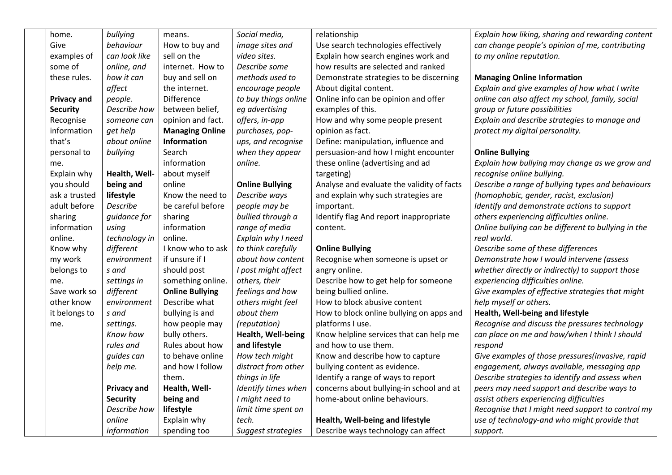| home.              | bullying           | means.                 | Social media,          | relationship                               | Explain how liking, sharing and rewarding content   |
|--------------------|--------------------|------------------------|------------------------|--------------------------------------------|-----------------------------------------------------|
| Give               | behaviour          | How to buy and         | image sites and        | Use search technologies effectively        | can change people's opinion of me, contributing     |
| examples of        | can look like      | sell on the            | video sites.           | Explain how search engines work and        | to my online reputation.                            |
| some of            | online, and        | internet. How to       | Describe some          | how results are selected and ranked        |                                                     |
| these rules.       | how it can         | buy and sell on        | methods used to        | Demonstrate strategies to be discerning    | <b>Managing Online Information</b>                  |
|                    | affect             | the internet.          | encourage people       | About digital content.                     | Explain and give examples of how what I write       |
| <b>Privacy and</b> | people.            | <b>Difference</b>      | to buy things online   | Online info can be opinion and offer       | online can also affect my school, family, social    |
| <b>Security</b>    | Describe how       | between belief,        | eg advertising         | examples of this.                          | group or future possibilities                       |
| Recognise          | someone can        | opinion and fact.      | offers, in-app         | How and why some people present            | Explain and describe strategies to manage and       |
| information        | get help           | <b>Managing Online</b> | purchases, pop-        | opinion as fact.                           | protect my digital personality.                     |
| that's             | about online       | Information            | ups, and recognise     | Define: manipulation, influence and        |                                                     |
| personal to        | bullying           | Search                 | when they appear       | persuasion-and how I might encounter       | <b>Online Bullying</b>                              |
| me.                |                    | information            | online.                | these online (advertising and ad           | Explain how bullying may change as we grow and      |
| Explain why        | Health, Well-      | about myself           |                        | targeting)                                 | recognise online bullying.                          |
| you should         | being and          | online                 | <b>Online Bullying</b> | Analyse and evaluate the validity of facts | Describe a range of bullying types and behaviours   |
| ask a trusted      | lifestyle          | Know the need to       | Describe ways          | and explain why such strategies are        | (homophobic, gender, racist, exclusion)             |
| adult before       | Describe           | be careful before      | people may be          | important.                                 | Identify and demonstrate actions to support         |
| sharing            | guidance for       | sharing                | bullied through a      | Identify flag And report inappropriate     | others experiencing difficulties online.            |
| information        | using              | information            | range of media         | content.                                   | Online bullying can be different to bullying in the |
| online.            | technology in      | online.                | Explain why I need     |                                            | real world.                                         |
| Know why           | different          | I know who to ask      | to think carefully     | <b>Online Bullying</b>                     | Describe some of these differences                  |
| my work            | environment        | if unsure if I         | about how content      | Recognise when someone is upset or         | Demonstrate how I would intervene (assess           |
| belongs to         | s and              | should post            | I post might affect    | angry online.                              | whether directly or indirectly) to support those    |
| me.                | settings in        | something online.      | others, their          | Describe how to get help for someone       | experiencing difficulties online.                   |
| Save work so       | different          | <b>Online Bullying</b> | feelings and how       | being bullied online.                      | Give examples of effective strategies that might    |
| other know         | environment        | Describe what          | others might feel      | How to block abusive content               | help myself or others.                              |
| it belongs to      | s and              | bullying is and        | about them             | How to block online bullying on apps and   | Health, Well-being and lifestyle                    |
| me.                | settings.          | how people may         | (reputation)           | platforms I use.                           | Recognise and discuss the pressures technology      |
|                    | Know how           | bully others.          | Health, Well-being     | Know helpline services that can help me    | can place on me and how/when I think I should       |
|                    | rules and          | Rules about how        | and lifestyle          | and how to use them.                       | respond                                             |
|                    | guides can         | to behave online       | How tech might         | Know and describe how to capture           | Give examples of those pressures(invasive, rapid    |
|                    | help me.           | and how I follow       | distract from other    | bullying content as evidence.              | engagement, always available, messaging app         |
|                    |                    | them.                  | things in life         | Identify a range of ways to report         | Describe strategies to identify and assess when     |
|                    | <b>Privacy and</b> | Health, Well-          | Identify times when    | concerns about bullying-in school and at   | peers may need support and describe ways to         |
|                    | <b>Security</b>    | being and              | I might need to        | home-about online behaviours.              | assist others experiencing difficulties             |
|                    | Describe how       | lifestyle              | limit time spent on    |                                            | Recognise that I might need support to control my   |
|                    | online             | Explain why            | tech.                  | Health, Well-being and lifestyle           | use of technology-and who might provide that        |
|                    | information        | spending too           | Suggest strategies     | Describe ways technology can affect        | support.                                            |